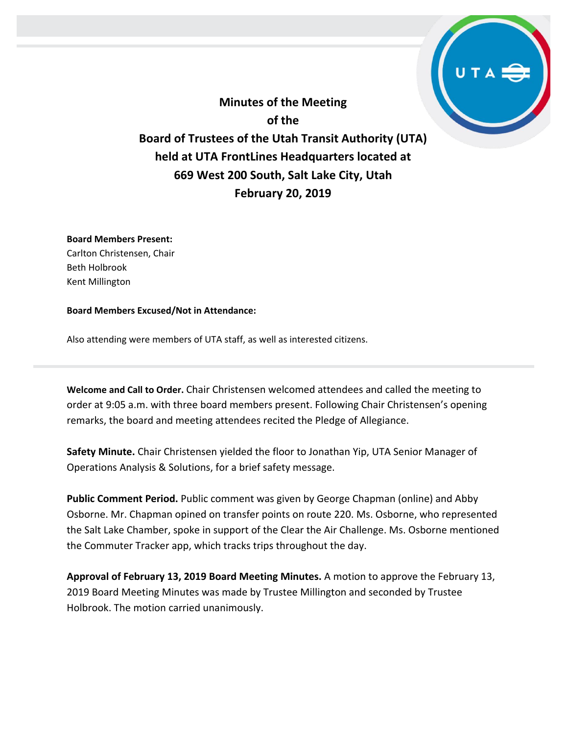**Minutes of the Meeting of the Board of Trustees of the Utah Transit Authority (UTA) held at UTA FrontLines Headquarters located at 669 West 200 South, Salt Lake City, Utah February 20, 2019**

### **Board Members Present:**

Carlton Christensen, Chair Beth Holbrook Kent Millington

#### **Board Members Excused/Not in Attendance:**

Also attending were members of UTA staff, as well as interested citizens.

**Welcome and Call to Order.** Chair Christensen welcomed attendees and called the meeting to order at 9:05 a.m. with three board members present. Following Chair Christensen's opening remarks, the board and meeting attendees recited the Pledge of Allegiance.

**Safety Minute.** Chair Christensen yielded the floor to Jonathan Yip, UTA Senior Manager of Operations Analysis & Solutions, for a brief safety message.

**Public Comment Period.** Public comment was given by George Chapman (online) and Abby Osborne. Mr. Chapman opined on transfer points on route 220. Ms. Osborne, who represented the Salt Lake Chamber, spoke in support of the Clear the Air Challenge. Ms. Osborne mentioned the Commuter Tracker app, which tracks trips throughout the day.

**Approval of February 13, 2019 Board Meeting Minutes.** A motion to approve the February 13, 2019 Board Meeting Minutes was made by Trustee Millington and seconded by Trustee Holbrook. The motion carried unanimously.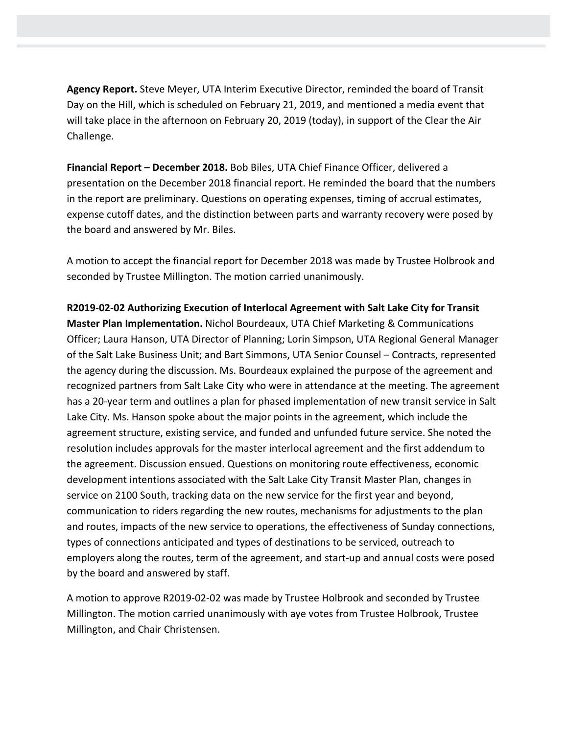**Agency Report.** Steve Meyer, UTA Interim Executive Director, reminded the board of Transit Day on the Hill, which is scheduled on February 21, 2019, and mentioned a media event that will take place in the afternoon on February 20, 2019 (today), in support of the Clear the Air Challenge.

**Financial Report – December 2018.** Bob Biles, UTA Chief Finance Officer, delivered a presentation on the December 2018 financial report. He reminded the board that the numbers in the report are preliminary. Questions on operating expenses, timing of accrual estimates, expense cutoff dates, and the distinction between parts and warranty recovery were posed by the board and answered by Mr. Biles.

A motion to accept the financial report for December 2018 was made by Trustee Holbrook and seconded by Trustee Millington. The motion carried unanimously.

**R2019-02-02 Authorizing Execution of Interlocal Agreement with Salt Lake City for Transit Master Plan Implementation.** Nichol Bourdeaux, UTA Chief Marketing & Communications Officer; Laura Hanson, UTA Director of Planning; Lorin Simpson, UTA Regional General Manager of the Salt Lake Business Unit; and Bart Simmons, UTA Senior Counsel – Contracts, represented the agency during the discussion. Ms. Bourdeaux explained the purpose of the agreement and recognized partners from Salt Lake City who were in attendance at the meeting. The agreement has a 20-year term and outlines a plan for phased implementation of new transit service in Salt Lake City. Ms. Hanson spoke about the major points in the agreement, which include the agreement structure, existing service, and funded and unfunded future service. She noted the resolution includes approvals for the master interlocal agreement and the first addendum to the agreement. Discussion ensued. Questions on monitoring route effectiveness, economic development intentions associated with the Salt Lake City Transit Master Plan, changes in service on 2100 South, tracking data on the new service for the first year and beyond, communication to riders regarding the new routes, mechanisms for adjustments to the plan and routes, impacts of the new service to operations, the effectiveness of Sunday connections, types of connections anticipated and types of destinations to be serviced, outreach to employers along the routes, term of the agreement, and start-up and annual costs were posed by the board and answered by staff.

A motion to approve R2019-02-02 was made by Trustee Holbrook and seconded by Trustee Millington. The motion carried unanimously with aye votes from Trustee Holbrook, Trustee Millington, and Chair Christensen.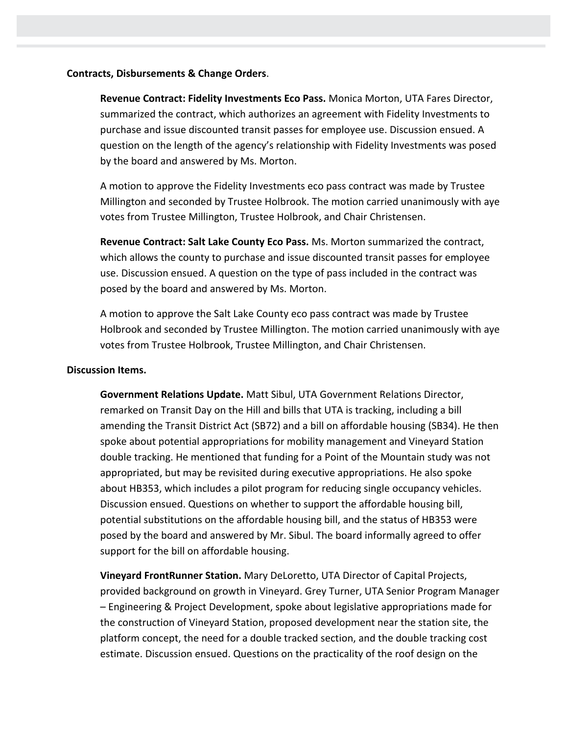## **Contracts, Disbursements & Change Orders**.

**Revenue Contract: Fidelity Investments Eco Pass.** Monica Morton, UTA Fares Director, summarized the contract, which authorizes an agreement with Fidelity Investments to purchase and issue discounted transit passes for employee use. Discussion ensued. A question on the length of the agency's relationship with Fidelity Investments was posed by the board and answered by Ms. Morton.

A motion to approve the Fidelity Investments eco pass contract was made by Trustee Millington and seconded by Trustee Holbrook. The motion carried unanimously with aye votes from Trustee Millington, Trustee Holbrook, and Chair Christensen.

**Revenue Contract: Salt Lake County Eco Pass.** Ms. Morton summarized the contract, which allows the county to purchase and issue discounted transit passes for employee use. Discussion ensued. A question on the type of pass included in the contract was posed by the board and answered by Ms. Morton.

A motion to approve the Salt Lake County eco pass contract was made by Trustee Holbrook and seconded by Trustee Millington. The motion carried unanimously with aye votes from Trustee Holbrook, Trustee Millington, and Chair Christensen.

## **Discussion Items.**

**Government Relations Update.** Matt Sibul, UTA Government Relations Director, remarked on Transit Day on the Hill and bills that UTA is tracking, including a bill amending the Transit District Act (SB72) and a bill on affordable housing (SB34). He then spoke about potential appropriations for mobility management and Vineyard Station double tracking. He mentioned that funding for a Point of the Mountain study was not appropriated, but may be revisited during executive appropriations. He also spoke about HB353, which includes a pilot program for reducing single occupancy vehicles. Discussion ensued. Questions on whether to support the affordable housing bill, potential substitutions on the affordable housing bill, and the status of HB353 were posed by the board and answered by Mr. Sibul. The board informally agreed to offer support for the bill on affordable housing.

**Vineyard FrontRunner Station.** Mary DeLoretto, UTA Director of Capital Projects, provided background on growth in Vineyard. Grey Turner, UTA Senior Program Manager – Engineering & Project Development, spoke about legislative appropriations made for the construction of Vineyard Station, proposed development near the station site, the platform concept, the need for a double tracked section, and the double tracking cost estimate. Discussion ensued. Questions on the practicality of the roof design on the